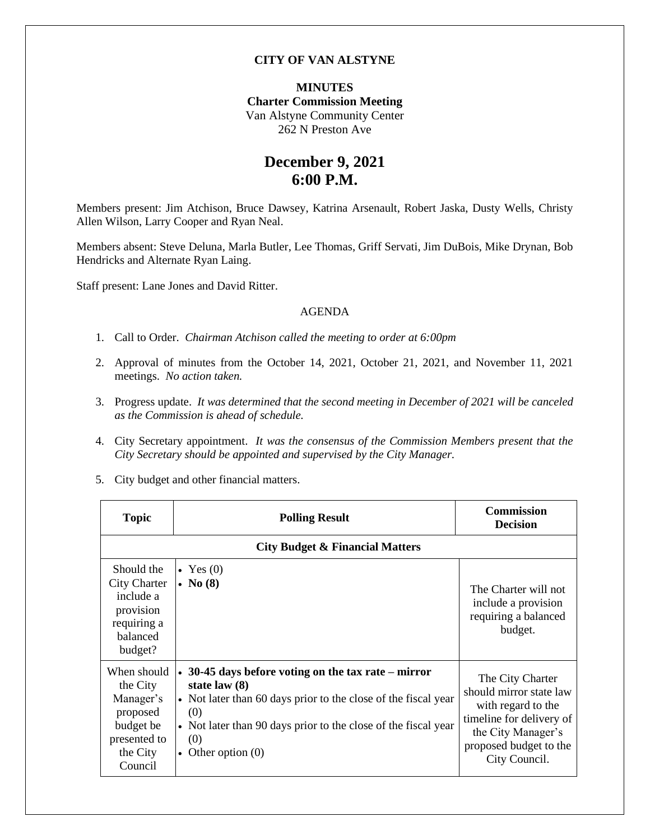## **CITY OF VAN ALSTYNE**

### **MINUTES Charter Commission Meeting** Van Alstyne Community Center 262 N Preston Ave

## **December 9, 2021 6:00 P.M.**

Members present: Jim Atchison, Bruce Dawsey, Katrina Arsenault, Robert Jaska, Dusty Wells, Christy Allen Wilson, Larry Cooper and Ryan Neal.

Members absent: Steve Deluna, Marla Butler, Lee Thomas, Griff Servati, Jim DuBois, Mike Drynan, Bob Hendricks and Alternate Ryan Laing.

Staff present: Lane Jones and David Ritter.

#### AGENDA

- 1. Call to Order. *Chairman Atchison called the meeting to order at 6:00pm*
- 2. Approval of minutes from the October 14, 2021, October 21, 2021, and November 11, 2021 meetings. *No action taken.*
- 3. Progress update. *It was determined that the second meeting in December of 2021 will be canceled as the Commission is ahead of schedule.*
- 4. City Secretary appointment. *It was the consensus of the Commission Members present that the City Secretary should be appointed and supervised by the City Manager.*
- 5. City budget and other financial matters.

| <b>Topic</b>                                                                                         | <b>Polling Result</b>                                                                                                                                                                                                                                  | <b>Commission</b><br><b>Decision</b>                                                                                                                           |
|------------------------------------------------------------------------------------------------------|--------------------------------------------------------------------------------------------------------------------------------------------------------------------------------------------------------------------------------------------------------|----------------------------------------------------------------------------------------------------------------------------------------------------------------|
| <b>City Budget &amp; Financial Matters</b>                                                           |                                                                                                                                                                                                                                                        |                                                                                                                                                                |
| Should the<br><b>City Charter</b><br>include a<br>provision<br>requiring a<br>balanced<br>budget?    | $\bullet$ Yes (0)<br>$\bullet$ No (8)                                                                                                                                                                                                                  | The Charter will not<br>include a provision<br>requiring a balanced<br>budget.                                                                                 |
| When should<br>the City<br>Manager's<br>proposed<br>budget be<br>presented to<br>the City<br>Council | $\cdot$ 30-45 days before voting on the tax rate – mirror<br>state law $(8)$<br>• Not later than 60 days prior to the close of the fiscal year<br>(0)<br>• Not later than 90 days prior to the close of the fiscal year<br>(0)<br>• Other option $(0)$ | The City Charter<br>should mirror state law<br>with regard to the<br>timeline for delivery of<br>the City Manager's<br>proposed budget to the<br>City Council. |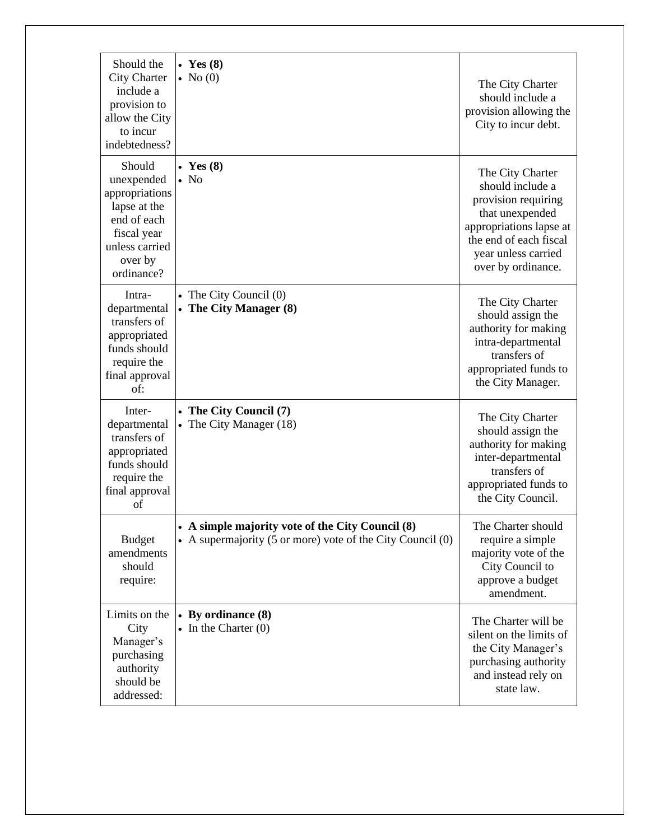| Should the<br><b>City Charter</b><br>include a<br>provision to<br>allow the City<br>to incur                                                     | • Yes $(8)$<br>$\bullet$ No (0)                                                                                  | The City Charter<br>should include a<br>provision allowing the<br>City to incur debt.                                                                                            |
|--------------------------------------------------------------------------------------------------------------------------------------------------|------------------------------------------------------------------------------------------------------------------|----------------------------------------------------------------------------------------------------------------------------------------------------------------------------------|
| indebtedness?<br>Should<br>unexpended<br>appropriations<br>lapse at the<br>end of each<br>fiscal year<br>unless carried<br>over by<br>ordinance? | • Yes $(8)$<br>$\bullet$ No                                                                                      | The City Charter<br>should include a<br>provision requiring<br>that unexpended<br>appropriations lapse at<br>the end of each fiscal<br>year unless carried<br>over by ordinance. |
| Intra-<br>departmental<br>transfers of<br>appropriated<br>funds should<br>require the<br>final approval<br>of:                                   | • The City Council $(0)$<br>The City Manager (8)                                                                 | The City Charter<br>should assign the<br>authority for making<br>intra-departmental<br>transfers of<br>appropriated funds to<br>the City Manager.                                |
| Inter-<br>departmental<br>transfers of<br>appropriated<br>funds should<br>require the<br>final approval<br>of                                    | • The City Council (7)<br>The City Manager (18)                                                                  | The City Charter<br>should assign the<br>authority for making<br>inter-departmental<br>transfers of<br>appropriated funds to<br>the City Council.                                |
| <b>Budget</b><br>amendments<br>should<br>require:                                                                                                | • A simple majority vote of the City Council (8)<br>• A supermajority (5 or more) vote of the City Council $(0)$ | The Charter should<br>require a simple<br>majority vote of the<br>City Council to<br>approve a budget<br>amendment.                                                              |
| Limits on the<br>City<br>Manager's<br>purchasing<br>authority<br>should be<br>addressed:                                                         | • By ordinance $(8)$<br>$\bullet$ In the Charter $(0)$                                                           | The Charter will be<br>silent on the limits of<br>the City Manager's<br>purchasing authority<br>and instead rely on<br>state law.                                                |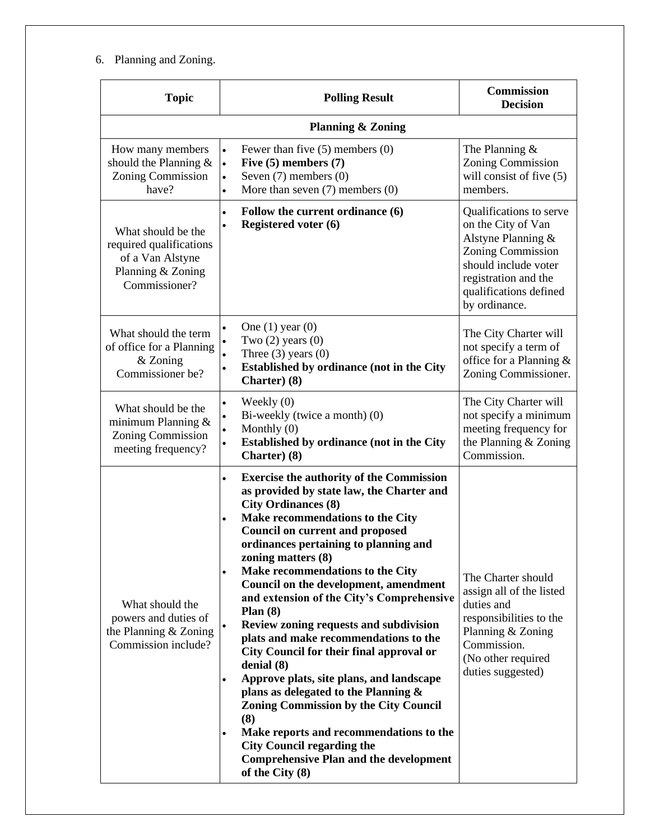# 6. Planning and Zoning.

| <b>Topic</b>                                                                                            | <b>Polling Result</b>                                                                                                                                                                                                                                                                                                                                                                                                                                                                                                                                                                                                                                                                                                                                                                                                                                                                                      | <b>Commission</b><br><b>Decision</b>                                                                                                                                                       |  |  |
|---------------------------------------------------------------------------------------------------------|------------------------------------------------------------------------------------------------------------------------------------------------------------------------------------------------------------------------------------------------------------------------------------------------------------------------------------------------------------------------------------------------------------------------------------------------------------------------------------------------------------------------------------------------------------------------------------------------------------------------------------------------------------------------------------------------------------------------------------------------------------------------------------------------------------------------------------------------------------------------------------------------------------|--------------------------------------------------------------------------------------------------------------------------------------------------------------------------------------------|--|--|
| <b>Planning &amp; Zoning</b>                                                                            |                                                                                                                                                                                                                                                                                                                                                                                                                                                                                                                                                                                                                                                                                                                                                                                                                                                                                                            |                                                                                                                                                                                            |  |  |
| How many members<br>should the Planning $\&$<br>Zoning Commission<br>have?                              | Fewer than five $(5)$ members $(0)$<br>$\bullet$<br>Five $(5)$ members $(7)$<br>$\bullet$<br>Seven $(7)$ members $(0)$<br>$\bullet$<br>More than seven $(7)$ members $(0)$<br>$\bullet$                                                                                                                                                                                                                                                                                                                                                                                                                                                                                                                                                                                                                                                                                                                    | The Planning $&$<br><b>Zoning Commission</b><br>will consist of five (5)<br>members.                                                                                                       |  |  |
| What should be the<br>required qualifications<br>of a Van Alstyne<br>Planning & Zoning<br>Commissioner? | Follow the current ordinance (6)<br>$\bullet$<br><b>Registered voter (6)</b><br>٠                                                                                                                                                                                                                                                                                                                                                                                                                                                                                                                                                                                                                                                                                                                                                                                                                          | Qualifications to serve<br>on the City of Van<br>Alstyne Planning &<br><b>Zoning Commission</b><br>should include voter<br>registration and the<br>qualifications defined<br>by ordinance. |  |  |
| What should the term<br>of office for a Planning<br>$&$ Zoning<br>Commissioner be?                      | One $(1)$ year $(0)$<br>$\bullet$<br>Two $(2)$ years $(0)$<br>Three $(3)$ years $(0)$<br>Established by ordinance (not in the City<br>$\bullet$<br>Charter) (8)                                                                                                                                                                                                                                                                                                                                                                                                                                                                                                                                                                                                                                                                                                                                            | The City Charter will<br>not specify a term of<br>office for a Planning &<br>Zoning Commissioner.                                                                                          |  |  |
| What should be the<br>minimum Planning $&$<br><b>Zoning Commission</b><br>meeting frequency?            | Weekly $(0)$<br>$\bullet$<br>Bi-weekly (twice a month) (0)<br>Monthly $(0)$<br><b>Established by ordinance (not in the City</b><br>Charter) (8)                                                                                                                                                                                                                                                                                                                                                                                                                                                                                                                                                                                                                                                                                                                                                            | The City Charter will<br>not specify a minimum<br>meeting frequency for<br>the Planning & Zoning<br>Commission.                                                                            |  |  |
| What should the<br>powers and duties of<br>the Planning & Zoning<br>Commission include?                 | <b>Exercise the authority of the Commission</b><br>$\bullet$<br>as provided by state law, the Charter and<br><b>City Ordinances (8)</b><br>Make recommendations to the City<br>٠<br><b>Council on current and proposed</b><br>ordinances pertaining to planning and<br>zoning matters (8)<br>Make recommendations to the City<br>$\bullet$<br>Council on the development, amendment<br>and extension of the City's Comprehensive<br>Plan $(8)$<br>Review zoning requests and subdivision<br>plats and make recommendations to the<br>City Council for their final approval or<br>denial (8)<br>Approve plats, site plans, and landscape<br>$\bullet$<br>plans as delegated to the Planning $\&$<br><b>Zoning Commission by the City Council</b><br>(8)<br>Make reports and recommendations to the<br><b>City Council regarding the</b><br><b>Comprehensive Plan and the development</b><br>of the City (8) | The Charter should<br>assign all of the listed<br>duties and<br>responsibilities to the<br>Planning & Zoning<br>Commission.<br>(No other required<br>duties suggested)                     |  |  |